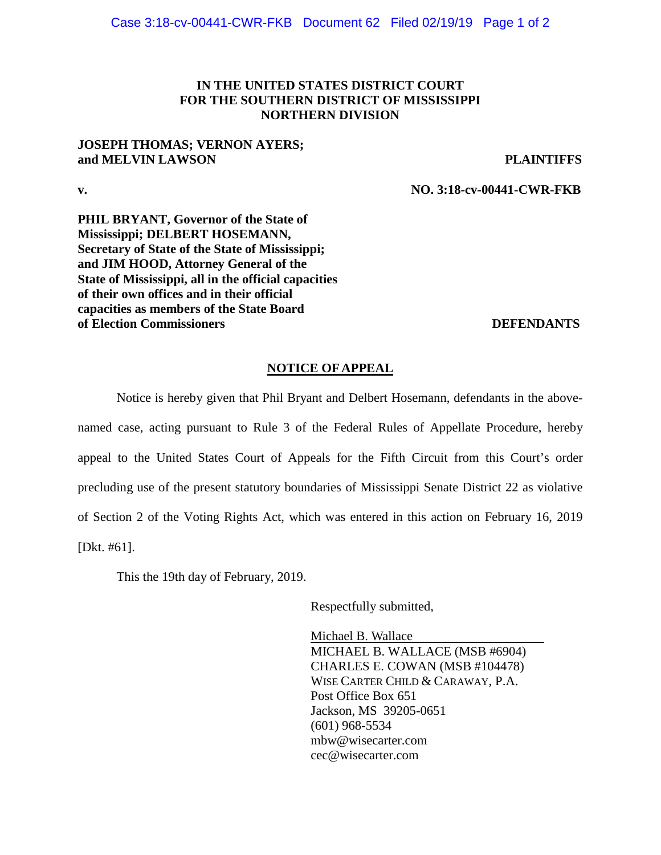## **IN THE UNITED STATES DISTRICT COURT FOR THE SOUTHERN DISTRICT OF MISSISSIPPI NORTHERN DIVISION**

## **JOSEPH THOMAS; VERNON AYERS; and MELVIN LAWSON PLAINTIFFS**

**v. NO. 3:18-cv-00441-CWR-FKB**

**PHIL BRYANT, Governor of the State of Mississippi; DELBERT HOSEMANN, Secretary of State of the State of Mississippi; and JIM HOOD, Attorney General of the State of Mississippi, all in the official capacities of their own offices and in their official capacities as members of the State Board of Election Commissioners DEFENDANTS** 

## **NOTICE OF APPEAL**

Notice is hereby given that Phil Bryant and Delbert Hosemann, defendants in the abovenamed case, acting pursuant to Rule 3 of the Federal Rules of Appellate Procedure, hereby appeal to the United States Court of Appeals for the Fifth Circuit from this Court's order precluding use of the present statutory boundaries of Mississippi Senate District 22 as violative of Section 2 of the Voting Rights Act, which was entered in this action on February 16, 2019 [Dkt. #61].

This the 19th day of February, 2019.

Respectfully submitted,

Michael B. Wallace MICHAEL B. WALLACE (MSB #6904) CHARLES E. COWAN (MSB #104478) WISE CARTER CHILD & CARAWAY, P.A. Post Office Box 651 Jackson, MS 39205-0651 (601) 968-5534 [mbw@wisecarter.com](mailto:mbw@wisecarter.com) cec@wisecarter.com